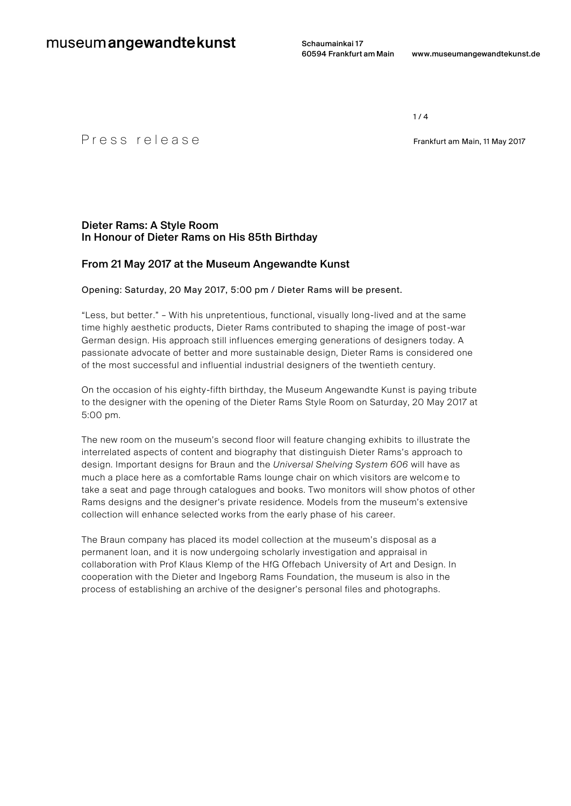Schaumainkai 17

 $1 / 4$ 

## P r e s s r e l e a s e Frankfurt am Main, <sup>11</sup> May 2017

## Dieter Rams: A Style Room In Honour of Dieter Rams on His 85th Birthday

## From 21 May 2017 at the Museum Angewandte Kunst

### Opening: Saturday, 20 May 2017, 5:00 pm / Dieter Rams will be present.

"Less, but better." – With his unpretentious, functional, visually long-lived and at the same time highly aesthetic products, Dieter Rams contributed to shaping the image of post-war German design. His approach still influences emerging generations of designers today. A passionate advocate of better and more sustainable design, Dieter Rams is considered one of the most successful and influential industrial designers of the twentieth century.

On the occasion of his eighty-fifth birthday, the Museum Angewandte Kunst is paying tribute to the designer with the opening of the Dieter Rams Style Room on Saturday, 20 May 2017 at 5:00 pm.

The new room on the museum's second floor will feature changing exhibits to illustrate the interrelated aspects of content and biography that distinguish Dieter Rams's approach to design. Important designs for Braun and the *Universal Shelving System 606* will have as much a place here as a comfortable Rams lounge chair on which visitors are welcome to take a seat and page through catalogues and books. Two monitors will show photos of other Rams designs and the designer's private residence. Models from the museum's extensive collection will enhance selected works from the early phase of his career.

The Braun company has placed its model collection at the museum's disposal as a permanent loan, and it is now undergoing scholarly investigation and appraisal in collaboration with Prof Klaus Klemp of the HfG Offebach University of Art and Design. In cooperation with the Dieter and Ingeborg Rams Foundation, the museum is also in the process of establishing an archive of the designer's personal files and photographs.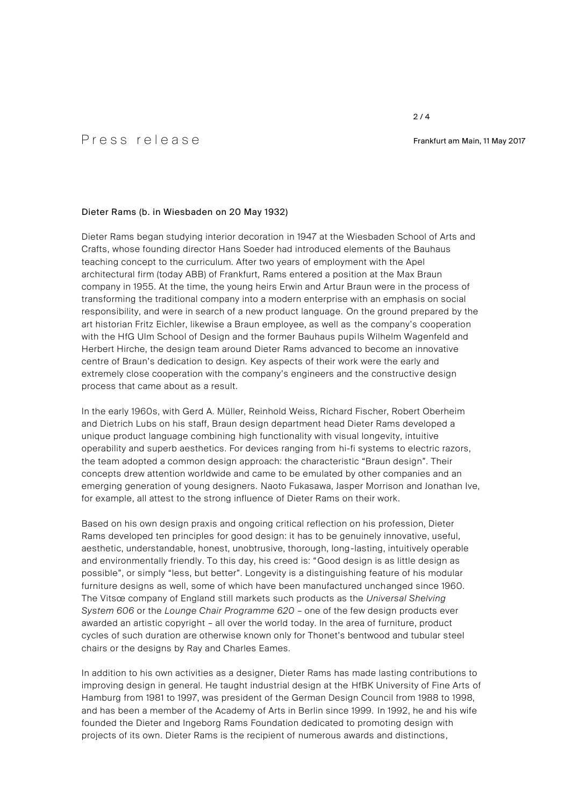# P r e s s r e l e a s e Frankfurt am Main, <sup>11</sup> May 2017

### Dieter Rams (b. in Wiesbaden on 20 May 1932)

Dieter Rams began studying interior decoration in 1947 at the Wiesbaden School of Arts and Crafts, whose founding director Hans Soeder had introduced elements of the Bauhaus teaching concept to the curriculum. After two years of employment with the Apel architectural firm (today ABB) of Frankfurt, Rams entered a position at the Max Braun company in 1955. At the time, the young heirs Erwin and Artur Braun were in the process of transforming the traditional company into a modern enterprise with an emphasis on social responsibility, and were in search of a new product language. On the ground prepared by the art historian Fritz Eichler, likewise a Braun employee, as well as the company's cooperation with the HfG Ulm School of Design and the former Bauhaus pupils Wilhelm Wagenfeld and Herbert Hirche, the design team around Dieter Rams advanced to become an innovative centre of Braun's dedication to design. Key aspects of their work were the early and extremely close cooperation with the company's engineers and the constructive design process that came about as a result.

In the early 1960s, with Gerd A. Müller, Reinhold Weiss, Richard Fischer, Robert Oberheim and Dietrich Lubs on his staff, Braun design department head Dieter Rams developed a unique product language combining high functionality with visual longevity, intuitive operability and superb aesthetics. For devices ranging from hi-fi systems to electric razors, the team adopted a common design approach: the characteristic "Braun design". Their concepts drew attention worldwide and came to be emulated by other companies and an emerging generation of young designers. Naoto Fukasawa, Jasper Morrison and Jonathan Ive, for example, all attest to the strong influence of Dieter Rams on their work.

Based on his own design praxis and ongoing critical reflection on his profession, Dieter Rams developed ten principles for good design: it has to be genuinely innovative, useful, aesthetic, understandable, honest, unobtrusive, thorough, long-lasting, intuitively operable and environmentally friendly. To this day, his creed is: "Good design is as little design as possible", or simply "less, but better". Longevity is a distinguishing feature of his modular furniture designs as well, some of which have been manufactured unchanged since 1960. The Vitsœ company of England still markets such products as the *Universal Shelving System 606* or the *Lounge Chair Programme 620* – one of the few design products ever awarded an artistic copyright – all over the world today. In the area of furniture, product cycles of such duration are otherwise known only for Thonet's bentwood and tubular steel chairs or the designs by Ray and Charles Eames.

In addition to his own activities as a designer, Dieter Rams has made lasting contributions to improving design in general. He taught industrial design at the HfBK University of Fine Arts of Hamburg from 1981 to 1997, was president of the German Design Council from 1988 to 1998, and has been a member of the Academy of Arts in Berlin since 1999. In 1992, he and his wife founded the Dieter and Ingeborg Rams Foundation dedicated to promoting design with projects of its own. Dieter Rams is the recipient of numerous awards and distinctions,

#### $2/4$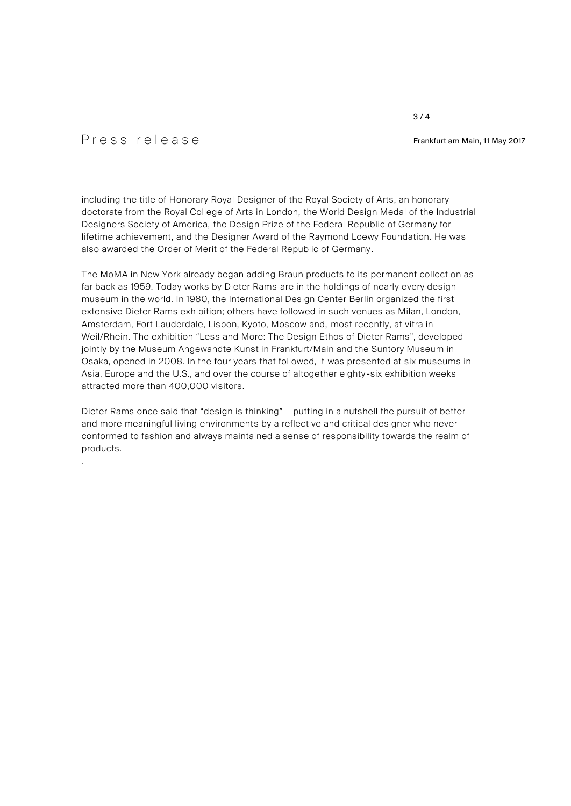# P r e s s r e l e a s e Frankfurt am Main, <sup>11</sup> May 2017

.

including the title of Honorary Royal Designer of the Royal Society of Arts, an honorary doctorate from the Royal College of Arts in London, the World Design Medal of the Industrial Designers Society of America, the Design Prize of the Federal Republic of Germany for lifetime achievement, and the Designer Award of the Raymond Loewy Foundation. He was also awarded the Order of Merit of the Federal Republic of Germany .

The MoMA in New York already began adding Braun products to its permanent collection as far back as 1959. Today works by Dieter Rams are in the holdings of nearly every design museum in the world. In 1980, the International Design Center Berlin organized the first extensive Dieter Rams exhibition; others have followed in such venues as Milan, London, Amsterdam, Fort Lauderdale, Lisbon, Kyoto, Moscow and, most recently, at vitra in Weil/Rhein. The exhibition "Less and More: The Design Ethos of Dieter Rams", developed jointly by the Museum Angewandte Kunst in Frankfurt/Main and the Suntory Museum in Osaka, opened in 2008. In the four years that followed, it was presented at six museums in Asia, Europe and the U.S., and over the course of altogether eighty -six exhibition weeks attracted more than 400,000 visitors.

Dieter Rams once said that "design is thinking" – putting in a nutshell the pursuit of better and more meaningful living environments by a reflective and critical designer who never conformed to fashion and always maintained a sense of responsibility towards the realm of products.

### $3/4$